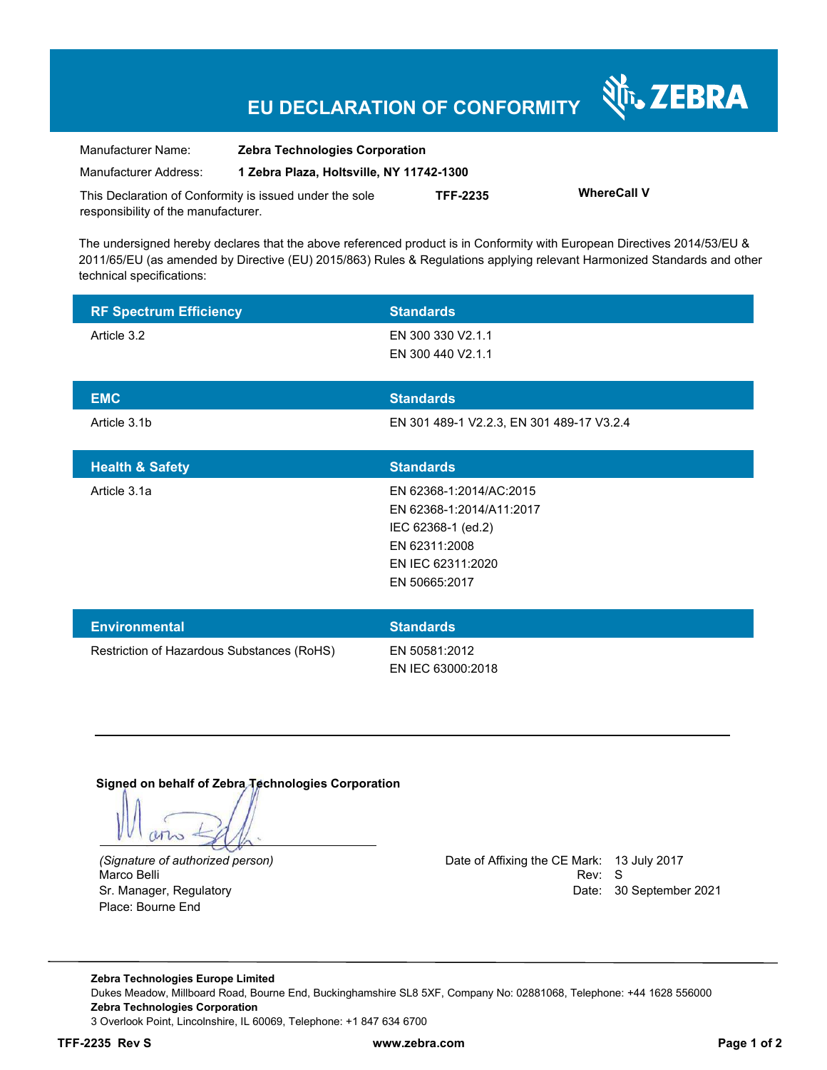# **EU DECLARATION OF CONFORMITY**

| Manufacturer Name:                                      | <b>Zebra Technologies Corporation</b>    |                 |                    |
|---------------------------------------------------------|------------------------------------------|-----------------|--------------------|
| Manufacturer Address:                                   | 1 Zebra Plaza, Holtsville, NY 11742-1300 |                 |                    |
| This Declaration of Conformity is issued under the sole |                                          | <b>TFF-2235</b> | <b>WhereCall V</b> |
| responsibility of the manufacturer.                     |                                          |                 |                    |

The undersigned hereby declares that the above referenced product is in Conformity with European Directives 2014/53/EU & 2011/65/EU (as amended by Directive (EU) 2015/863) Rules & Regulations applying relevant Harmonized Standards and other technical specifications:

| <b>RF Spectrum Efficiency</b>              | <b>Standards</b>                          |
|--------------------------------------------|-------------------------------------------|
| Article 3.2                                | EN 300 330 V2.1.1                         |
|                                            | EN 300 440 V2.1.1                         |
|                                            |                                           |
| <b>EMC</b>                                 | <b>Standards</b>                          |
| Article 3.1b                               | EN 301 489-1 V2.2.3, EN 301 489-17 V3.2.4 |
|                                            |                                           |
| <b>Health &amp; Safety</b>                 | <b>Standards</b>                          |
| Article 3.1a                               | EN 62368-1:2014/AC:2015                   |
|                                            | EN 62368-1:2014/A11:2017                  |
|                                            | IEC 62368-1 (ed.2)                        |
|                                            | EN 62311:2008                             |
|                                            | EN IEC 62311:2020                         |
|                                            | EN 50665:2017                             |
|                                            |                                           |
| <b>Environmental</b>                       | <b>Standards</b>                          |
| Restriction of Hazardous Substances (RoHS) | EN 50581:2012                             |
|                                            | EN IEC 63000:2018                         |

**Signed on behalf of Zebra Technologies Corporation** 

who

Place: Bourne End

*(Signature of authorized person)* Date of Affixing the CE Mark: 13 July 2017 Marco Belli Rev: Society and Society and Society and Society and Society and Society and Society and Society and Society and Society and Society and Society and Society and Society and Society and Society and Society and S Sr. Manager, Regulatory Date: 30 September 2021

र्शे<sub>ं</sub> ZEBRA

**Zebra Technologies Europe Limited**  Dukes Meadow, Millboard Road, Bourne End, Buckinghamshire SL8 5XF, Company No: 02881068, Telephone: +44 1628 556000 **Zebra Technologies Corporation**  3 Overlook Point, Lincolnshire, IL 60069, Telephone: +1 847 634 6700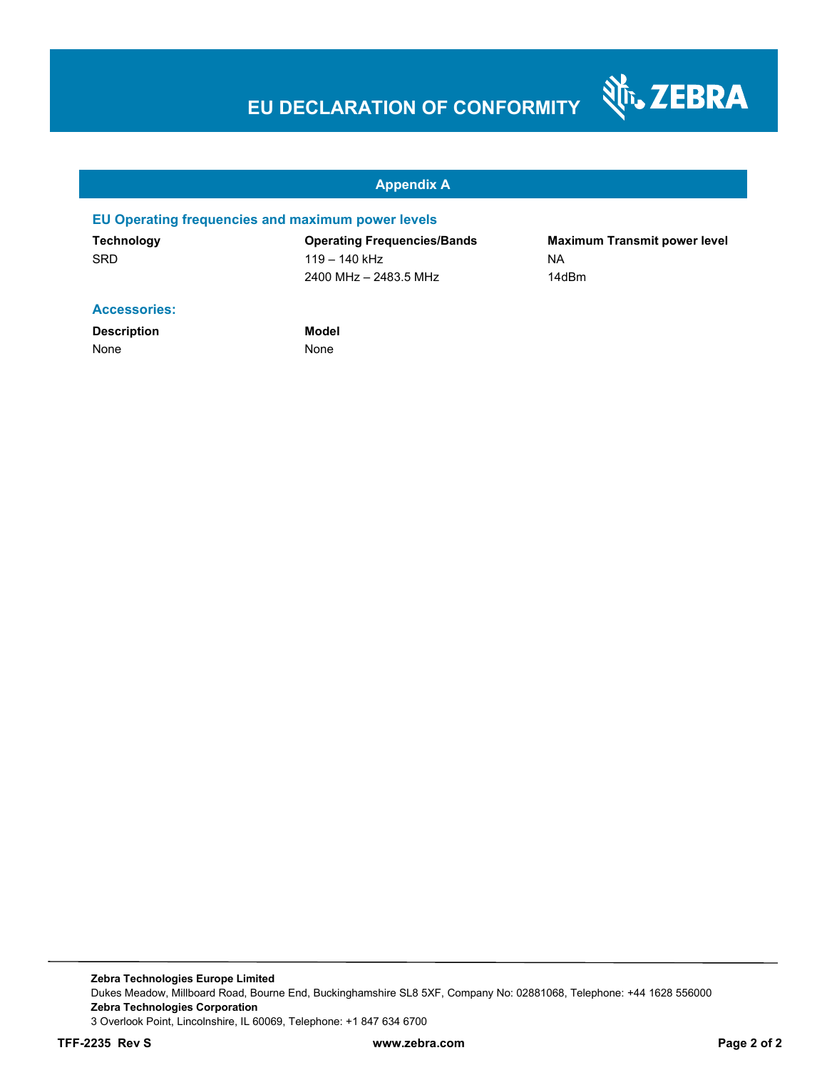# **EU DECLARATION OF CONFORMITY**

#### **Appendix A**

### **EU Operating frequencies and maximum power levels**

**Technology Operating Frequencies/Bands Maximum Transmit power level**  SRD 119 – 140 kHz NA 2400 MHz – 2483.5 MHz 14dBm

Nr. ZEBRA

#### **Accessories:**

**Description Model** None None